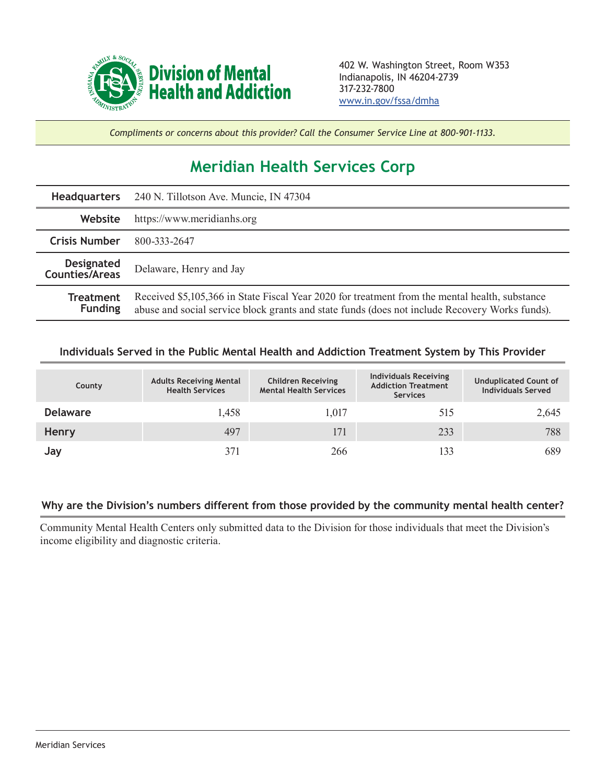

*Compliments or concerns about this provider? Call the Consumer Service Line at 800-901-1133.*

## **Meridian Health Services Corp**

|                                            | Headquarters 240 N. Tillotson Ave. Muncie, IN 47304                                                                                                                                              |  |  |
|--------------------------------------------|--------------------------------------------------------------------------------------------------------------------------------------------------------------------------------------------------|--|--|
| Website                                    | https://www.meridianhs.org                                                                                                                                                                       |  |  |
| <b>Crisis Number</b>                       | 800-333-2647                                                                                                                                                                                     |  |  |
| <b>Designated</b><br><b>Counties/Areas</b> | Delaware, Henry and Jay                                                                                                                                                                          |  |  |
| <b>Treatment</b><br><b>Funding</b>         | Received \$5,105,366 in State Fiscal Year 2020 for treatment from the mental health, substance<br>abuse and social service block grants and state funds (does not include Recovery Works funds). |  |  |

## **Individuals Served in the Public Mental Health and Addiction Treatment System by This Provider**

| County          | <b>Adults Receiving Mental</b><br><b>Health Services</b> | <b>Children Receiving</b><br><b>Mental Health Services</b> | <b>Individuals Receiving</b><br><b>Addiction Treatment</b><br><b>Services</b> | <b>Unduplicated Count of</b><br><b>Individuals Served</b> |
|-----------------|----------------------------------------------------------|------------------------------------------------------------|-------------------------------------------------------------------------------|-----------------------------------------------------------|
| <b>Delaware</b> | 1,458                                                    | 1,017                                                      | 515                                                                           | 2,645                                                     |
| Henry           | 497                                                      | 171                                                        | 233                                                                           | 788                                                       |
| Jay             | 371                                                      | 266                                                        | 133                                                                           | 689                                                       |

## **Why are the Division's numbers different from those provided by the community mental health center?**

Community Mental Health Centers only submitted data to the Division for those individuals that meet the Division's income eligibility and diagnostic criteria.